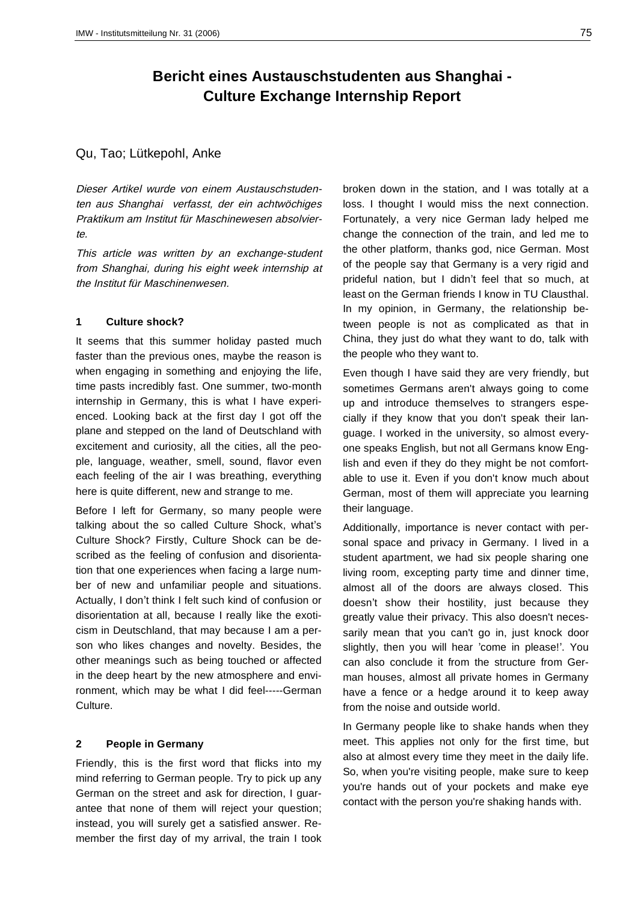# **Bericht eines Austauschstudenten aus Shanghai - Culture Exchange Internship Report**

## Qu, Tao; Lütkepohl, Anke

Dieser Artikel wurde von einem Austauschstudenten aus Shanghai verfasst, der ein achtwöchiges Praktikum am Institut für Maschinewesen absolvierte.

This article was written by an exchange-student from Shanghai, during his eight week internship at the Institut für Maschinenwesen.

#### **1 Culture shock?**

It seems that this summer holiday pasted much faster than the previous ones, maybe the reason is when engaging in something and enjoying the life, time pasts incredibly fast. One summer, two-month internship in Germany, this is what I have experienced. Looking back at the first day I got off the plane and stepped on the land of Deutschland with excitement and curiosity, all the cities, all the people, language, weather, smell, sound, flavor even each feeling of the air I was breathing, everything here is quite different, new and strange to me.

Before I left for Germany, so many people were talking about the so called Culture Shock, what's Culture Shock? Firstly, Culture Shock can be described as the feeling of confusion and disorientation that one experiences when facing a large number of new and unfamiliar people and situations. Actually, I don't think I felt such kind of confusion or disorientation at all, because I really like the exoticism in Deutschland, that may because I am a person who likes changes and novelty. Besides, the other meanings such as being touched or affected in the deep heart by the new atmosphere and environment, which may be what I did feel-----German Culture.

## **2 People in Germany**

Friendly, this is the first word that flicks into my mind referring to German people. Try to pick up any German on the street and ask for direction, I guarantee that none of them will reject your question; instead, you will surely get a satisfied answer. Remember the first day of my arrival, the train I took broken down in the station, and I was totally at a loss. I thought I would miss the next connection. Fortunately, a very nice German lady helped me change the connection of the train, and led me to the other platform, thanks god, nice German. Most of the people say that Germany is a very rigid and prideful nation, but I didn't feel that so much, at least on the German friends I know in TU Clausthal. In my opinion, in Germany, the relationship between people is not as complicated as that in China, they just do what they want to do, talk with the people who they want to.

Even though I have said they are very friendly, but sometimes Germans aren't always going to come up and introduce themselves to strangers especially if they know that you don't speak their language. I worked in the university, so almost everyone speaks English, but not all Germans know English and even if they do they might be not comfortable to use it. Even if you don't know much about German, most of them will appreciate you learning their language.

Additionally, importance is never contact with personal space and privacy in Germany. I lived in a student apartment, we had six people sharing one living room, excepting party time and dinner time, almost all of the doors are always closed. This doesn't show their hostility, just because they greatly value their privacy. This also doesn't necessarily mean that you can't go in, just knock door slightly, then you will hear 'come in please!'. You can also conclude it from the structure from German houses, almost all private homes in Germany have a fence or a hedge around it to keep away from the noise and outside world.

In Germany people like to shake hands when they meet. This applies not only for the first time, but also at almost every time they meet in the daily life. So, when you're visiting people, make sure to keep you're hands out of your pockets and make eye contact with the person you're shaking hands with.